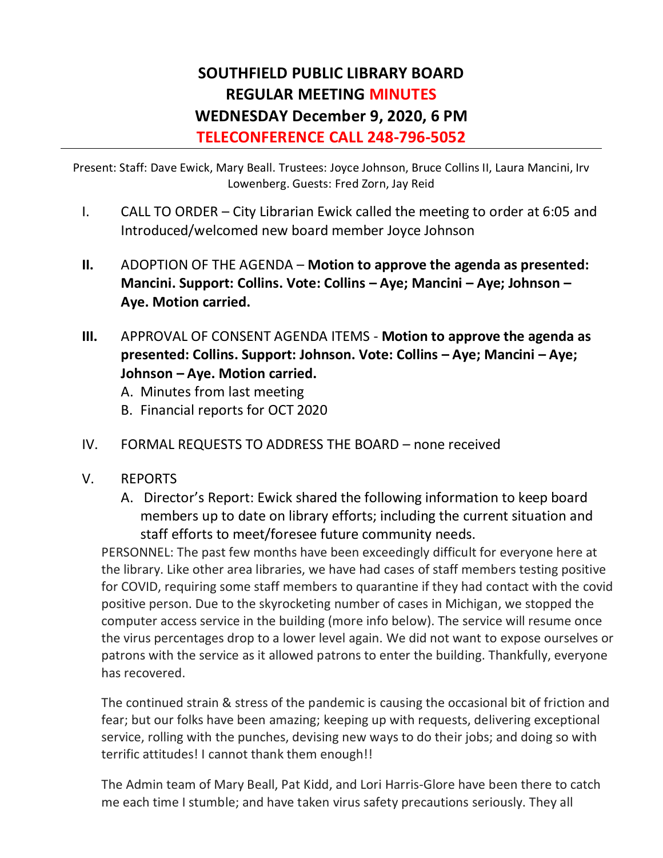## **SOUTHFIELD PUBLIC LIBRARY BOARD REGULAR MEETING MINUTES WEDNESDAY December 9, 2020, 6 PM TELECONFERENCE CALL 248-796-5052**

Present: Staff: Dave Ewick, Mary Beall. Trustees: Joyce Johnson, Bruce Collins II, Laura Mancini, Irv Lowenberg. Guests: Fred Zorn, Jay Reid

- I. CALL TO ORDER City Librarian Ewick called the meeting to order at 6:05 and Introduced/welcomed new board member Joyce Johnson
- **II.** ADOPTION OF THE AGENDA **Motion to approve the agenda as presented: Mancini. Support: Collins. Vote: Collins – Aye; Mancini – Aye; Johnson – Aye. Motion carried.**
- **III.** APPROVAL OF CONSENT AGENDA ITEMS **Motion to approve the agenda as presented: Collins. Support: Johnson. Vote: Collins – Aye; Mancini – Aye; Johnson – Aye. Motion carried.** 
	- A. Minutes from last meeting
	- B. Financial reports for OCT 2020
- IV. FORMAL REQUESTS TO ADDRESS THE BOARD none received
- V. REPORTS
	- A. Director's Report: Ewick shared the following information to keep board members up to date on library efforts; including the current situation and staff efforts to meet/foresee future community needs.

PERSONNEL: The past few months have been exceedingly difficult for everyone here at the library. Like other area libraries, we have had cases of staff members testing positive for COVID, requiring some staff members to quarantine if they had contact with the covid positive person. Due to the skyrocketing number of cases in Michigan, we stopped the computer access service in the building (more info below). The service will resume once the virus percentages drop to a lower level again. We did not want to expose ourselves or patrons with the service as it allowed patrons to enter the building. Thankfully, everyone has recovered.

The continued strain & stress of the pandemic is causing the occasional bit of friction and fear; but our folks have been amazing; keeping up with requests, delivering exceptional service, rolling with the punches, devising new ways to do their jobs; and doing so with terrific attitudes! I cannot thank them enough!!

The Admin team of Mary Beall, Pat Kidd, and Lori Harris-Glore have been there to catch me each time I stumble; and have taken virus safety precautions seriously. They all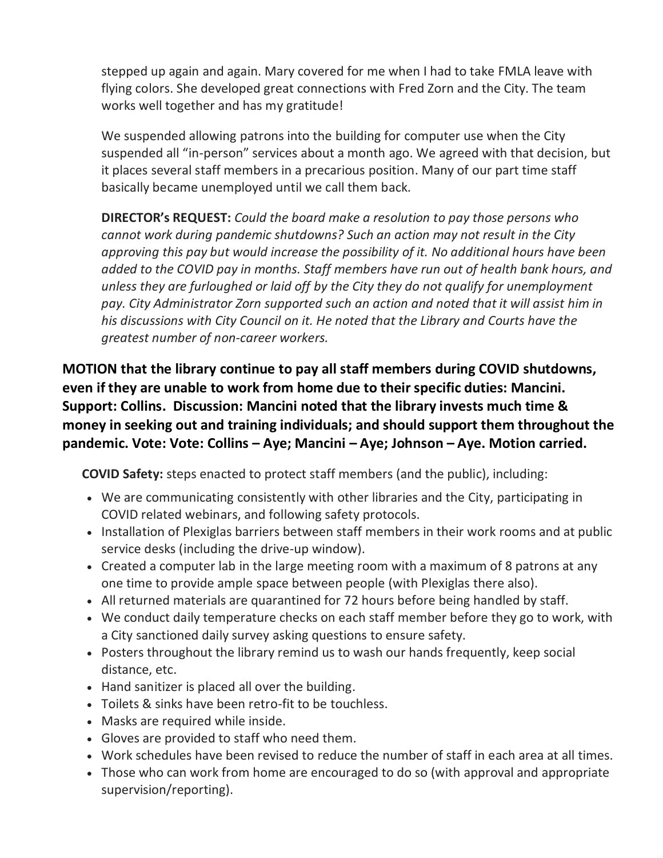stepped up again and again. Mary covered for me when I had to take FMLA leave with flying colors. She developed great connections with Fred Zorn and the City. The team works well together and has my gratitude!

We suspended allowing patrons into the building for computer use when the City suspended all "in-person" services about a month ago. We agreed with that decision, but it places several staff members in a precarious position. Many of our part time staff basically became unemployed until we call them back.

**DIRECTOR's REQUEST:** *Could the board make a resolution to pay those persons who cannot work during pandemic shutdowns? Such an action may not result in the City approving this pay but would increase the possibility of it. No additional hours have been added to the COVID pay in months. Staff members have run out of health bank hours, and unless they are furloughed or laid off by the City they do not qualify for unemployment pay. City Administrator Zorn supported such an action and noted that it will assist him in his discussions with City Council on it. He noted that the Library and Courts have the greatest number of non-career workers.* 

**MOTION that the library continue to pay all staff members during COVID shutdowns, even if they are unable to work from home due to their specific duties: Mancini. Support: Collins. Discussion: Mancini noted that the library invests much time & money in seeking out and training individuals; and should support them throughout the pandemic. Vote: Vote: Collins – Aye; Mancini – Aye; Johnson – Aye. Motion carried.**

**COVID Safety:** steps enacted to protect staff members (and the public), including:

- We are communicating consistently with other libraries and the City, participating in COVID related webinars, and following safety protocols.
- Installation of Plexiglas barriers between staff members in their work rooms and at public service desks (including the drive-up window).
- Created a computer lab in the large meeting room with a maximum of 8 patrons at any one time to provide ample space between people (with Plexiglas there also).
- All returned materials are quarantined for 72 hours before being handled by staff.
- We conduct daily temperature checks on each staff member before they go to work, with a City sanctioned daily survey asking questions to ensure safety.
- Posters throughout the library remind us to wash our hands frequently, keep social distance, etc.
- Hand sanitizer is placed all over the building.
- Toilets & sinks have been retro-fit to be touchless.
- Masks are required while inside.
- Gloves are provided to staff who need them.
- Work schedules have been revised to reduce the number of staff in each area at all times.
- Those who can work from home are encouraged to do so (with approval and appropriate supervision/reporting).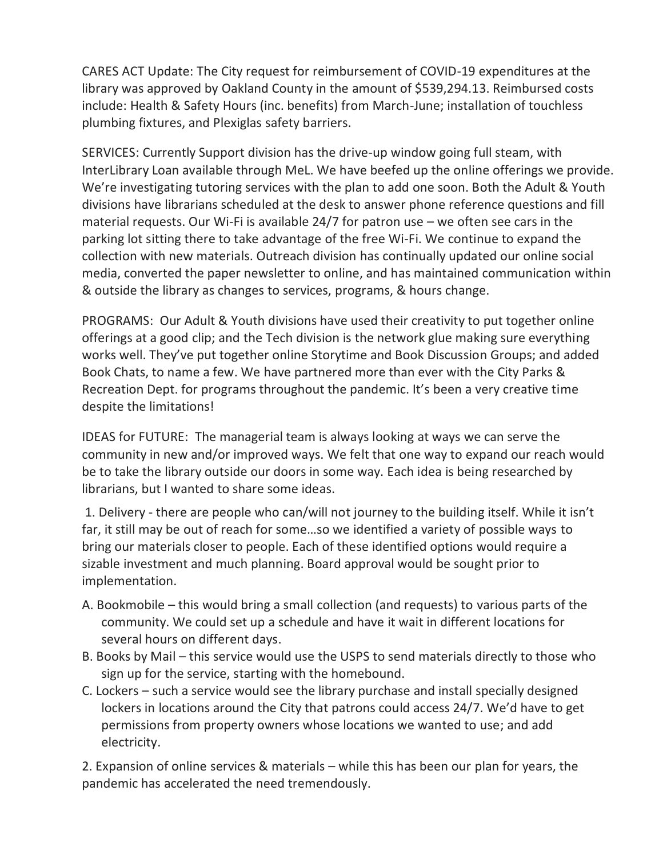CARES ACT Update: The City request for reimbursement of COVID-19 expenditures at the library was approved by Oakland County in the amount of \$539,294.13. Reimbursed costs include: Health & Safety Hours (inc. benefits) from March-June; installation of touchless plumbing fixtures, and Plexiglas safety barriers.

SERVICES: Currently Support division has the drive-up window going full steam, with InterLibrary Loan available through MeL. We have beefed up the online offerings we provide. We're investigating tutoring services with the plan to add one soon. Both the Adult & Youth divisions have librarians scheduled at the desk to answer phone reference questions and fill material requests. Our Wi-Fi is available 24/7 for patron use – we often see cars in the parking lot sitting there to take advantage of the free Wi-Fi. We continue to expand the collection with new materials. Outreach division has continually updated our online social media, converted the paper newsletter to online, and has maintained communication within & outside the library as changes to services, programs, & hours change.

PROGRAMS: Our Adult & Youth divisions have used their creativity to put together online offerings at a good clip; and the Tech division is the network glue making sure everything works well. They've put together online Storytime and Book Discussion Groups; and added Book Chats, to name a few. We have partnered more than ever with the City Parks & Recreation Dept. for programs throughout the pandemic. It's been a very creative time despite the limitations!

IDEAS for FUTURE: The managerial team is always looking at ways we can serve the community in new and/or improved ways. We felt that one way to expand our reach would be to take the library outside our doors in some way. Each idea is being researched by librarians, but I wanted to share some ideas.

1. Delivery - there are people who can/will not journey to the building itself. While it isn't far, it still may be out of reach for some…so we identified a variety of possible ways to bring our materials closer to people. Each of these identified options would require a sizable investment and much planning. Board approval would be sought prior to implementation.

- A. Bookmobile this would bring a small collection (and requests) to various parts of the community. We could set up a schedule and have it wait in different locations for several hours on different days.
- B. Books by Mail this service would use the USPS to send materials directly to those who sign up for the service, starting with the homebound.
- C. Lockers such a service would see the library purchase and install specially designed lockers in locations around the City that patrons could access 24/7. We'd have to get permissions from property owners whose locations we wanted to use; and add electricity.

2. Expansion of online services & materials – while this has been our plan for years, the pandemic has accelerated the need tremendously.